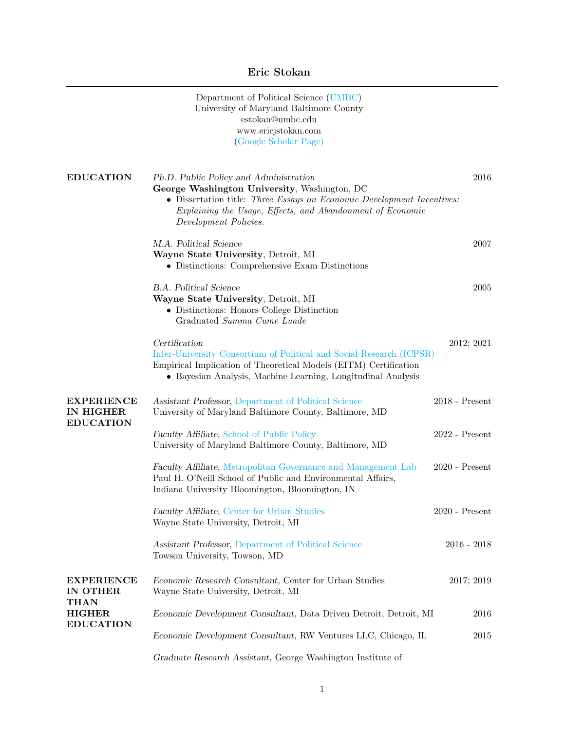# Eric Stokan

|                                                                                   | Department of Political Science (UMBC)<br>University of Maryland Baltimore County<br>estokan@umbc.edu<br>www.ericjstokan.com<br>(Google Scholar Page)                                                                                                   |                  |
|-----------------------------------------------------------------------------------|---------------------------------------------------------------------------------------------------------------------------------------------------------------------------------------------------------------------------------------------------------|------------------|
| <b>EDUCATION</b>                                                                  | Ph.D. Public Policy and Administration<br>George Washington University, Washington, DC<br>• Dissertation title: Three Essays on Economic Development Incentives:<br>Explaining the Usage, Effects, and Abandonment of Economic<br>Development Policies. | 2016             |
|                                                                                   | M.A. Political Science<br>Wayne State University, Detroit, MI<br>• Distinctions: Comprehensive Exam Distinctions                                                                                                                                        | 2007             |
|                                                                                   | <b>B.A.</b> Political Science<br>Wayne State University, Detroit, MI<br>• Distinctions: Honors College Distinction<br>Graduated Summa Cume Luade                                                                                                        | 2005             |
|                                                                                   | Certification<br>Inter-University Consortium of Political and Social Research (ICPSR)<br>Empirical Implication of Theoretical Models (EITM) Certification<br>• Bayesian Analysis, Machine Learning, Longitudinal Analysis                               | 2012; 2021       |
| <b>EXPERIENCE</b><br>IN HIGHER<br><b>EDUCATION</b>                                | Assistant Professor, Department of Political Science<br>University of Maryland Baltimore County, Baltimore, MD                                                                                                                                          | $2018$ - Present |
|                                                                                   | Faculty Affiliate, School of Public Policy<br>University of Maryland Baltimore County, Baltimore, MD                                                                                                                                                    | $2022$ - Present |
|                                                                                   | Faculty Affiliate, Metropolitan Governance and Management Lab<br>Paul H. O'Neill School of Public and Environmental Affairs,<br>Indiana University Bloomington, Bloomington, IN                                                                         | $2020$ - Present |
|                                                                                   | Faculty Affiliate, Center for Urban Studies<br>Wayne State University, Detroit, MI                                                                                                                                                                      | $2020$ - Present |
|                                                                                   | Assistant Professor, Department of Political Science<br>Towson University, Towson, MD                                                                                                                                                                   | $2016 - 2018$    |
| <b>EXPERIENCE</b><br>IN OTHER<br><b>THAN</b><br><b>HIGHER</b><br><b>EDUCATION</b> | Economic Research Consultant, Center for Urban Studies<br>Wayne State University, Detroit, MI                                                                                                                                                           | 2017; 2019       |
|                                                                                   | Economic Development Consultant, Data Driven Detroit, Detroit, MI                                                                                                                                                                                       | 2016             |
|                                                                                   | Economic Development Consultant, RW Ventures LLC, Chicago, IL                                                                                                                                                                                           | 2015             |
|                                                                                   | Graduate Research Assistant, George Washington Institute of                                                                                                                                                                                             |                  |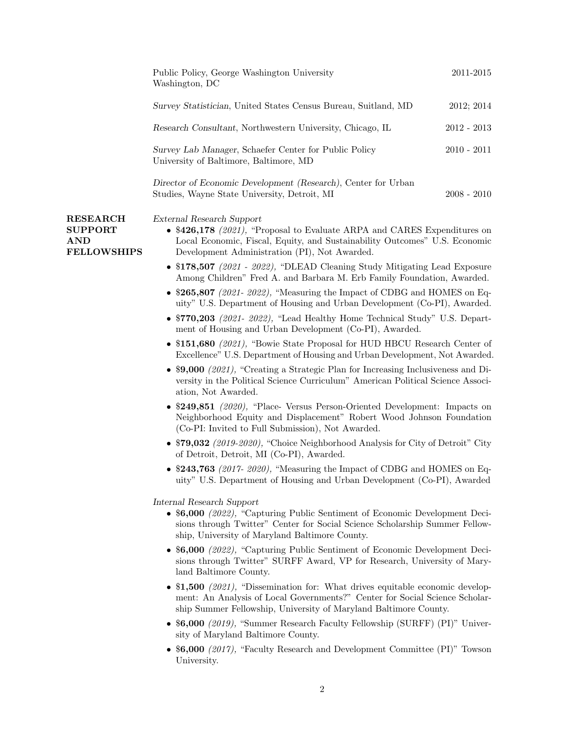|                                                                       | Public Policy, George Washington University<br>Washington, DC                                                                                                                                                                             | 2011-2015     |
|-----------------------------------------------------------------------|-------------------------------------------------------------------------------------------------------------------------------------------------------------------------------------------------------------------------------------------|---------------|
|                                                                       | Survey Statistician, United States Census Bureau, Suitland, MD                                                                                                                                                                            | 2012; 2014    |
|                                                                       | Research Consultant, Northwestern University, Chicago, IL                                                                                                                                                                                 | $2012 - 2013$ |
|                                                                       | Survey Lab Manager, Schaefer Center for Public Policy<br>University of Baltimore, Baltimore, MD                                                                                                                                           | $2010 - 2011$ |
|                                                                       | Director of Economic Development (Research), Center for Urban<br>Studies, Wayne State University, Detroit, MI                                                                                                                             | $2008 - 2010$ |
| <b>RESEARCH</b><br><b>SUPPORT</b><br><b>AND</b><br><b>FELLOWSHIPS</b> | External Research Support<br>• $$426,178$ (2021), "Proposal to Evaluate ARPA and CARES Expenditures on<br>Local Economic, Fiscal, Equity, and Sustainability Outcomes" U.S. Economic<br>Development Administration (PI), Not Awarded.     |               |
|                                                                       | • $$178,507$ (2021 - 2022), "DLEAD Cleaning Study Mitigating Lead Exposure<br>Among Children" Fred A. and Barbara M. Erb Family Foundation, Awarded.                                                                                      |               |
|                                                                       | $\bullet$ \$265,807 (2021-2022), "Measuring the Impact of CDBG and HOMES on Eq-<br>uity" U.S. Department of Housing and Urban Development (Co-PI), Awarded.                                                                               |               |
|                                                                       | • $$770,203$ (2021- 2022), "Lead Healthy Home Technical Study" U.S. Depart-<br>ment of Housing and Urban Development (Co-PI), Awarded.                                                                                                    |               |
|                                                                       | • \$151,680 (2021), "Bowie State Proposal for HUD HBCU Research Center of<br>Excellence" U.S. Department of Housing and Urban Development, Not Awarded.                                                                                   |               |
|                                                                       | • \$9,000 (2021), "Creating a Strategic Plan for Increasing Inclusiveness and Di-<br>versity in the Political Science Curriculum" American Political Science Associ-<br>ation, Not Awarded.                                               |               |
|                                                                       | • \$249,851 (2020), "Place- Versus Person-Oriented Development: Impacts on<br>Neighborhood Equity and Displacement" Robert Wood Johnson Foundation<br>(Co-PI: Invited to Full Submission), Not Awarded.                                   |               |
|                                                                       | • $$79,032$ (2019-2020), "Choice Neighborhood Analysis for City of Detroit" City<br>of Detroit, Detroit, MI (Co-PI), Awarded.                                                                                                             |               |
|                                                                       | • \$243,763 (2017-2020), "Measuring the Impact of CDBG and HOMES on Eq-<br>uity" U.S. Department of Housing and Urban Development (Co-PI), Awarded                                                                                        |               |
|                                                                       | Internal Research Support<br>• \$6,000 (2022), "Capturing Public Sentiment of Economic Development Deci-<br>sions through Twitter" Center for Social Science Scholarship Summer Fellow-<br>ship, University of Maryland Baltimore County. |               |
|                                                                       | • $6,000$ (2022), "Capturing Public Sentiment of Economic Development Deci-<br>sions through Twitter" SURFF Award, VP for Research, University of Mary-<br>land Baltimore County.                                                         |               |
|                                                                       | • \$1,500 (2021), "Dissemination for: What drives equitable economic develop-<br>ment: An Analysis of Local Governments?" Center for Social Science Scholar-<br>ship Summer Fellowship, University of Maryland Baltimore County.          |               |
|                                                                       | • \$6,000 (2019), "Summer Research Faculty Fellowship (SURFF) (PI)" Univer-<br>sity of Maryland Baltimore County.                                                                                                                         |               |
|                                                                       | • \$6,000 (2017), "Faculty Research and Development Committee (PI)" Towson<br>University.                                                                                                                                                 |               |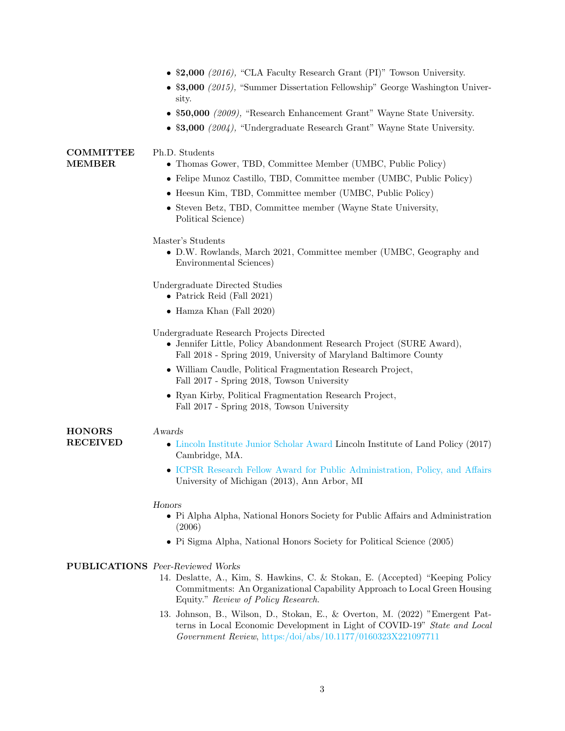- \$2,000 (2016), "CLA Faculty Research Grant (PI)" Towson University.
- \$3,000 (2015), "Summer Dissertation Fellowship" George Washington University.
- \$50,000 (2009), "Research Enhancement Grant" Wayne State University.
- \$3,000 (2004), "Undergraduate Research Grant" Wayne State University.

### **COMMITTEE** MEMBER

**HONORS** RECEIVED

# Ph.D. Students

- Thomas Gower, TBD, Committee Member (UMBC, Public Policy)
- Felipe Munoz Castillo, TBD, Committee member (UMBC, Public Policy)
- Heesun Kim, TBD, Committee member (UMBC, Public Policy)
- Steven Betz, TBD, Committee member (Wayne State University, Political Science)

### Master's Students

• D.W. Rowlands, March 2021, Committee member (UMBC, Geography and Environmental Sciences)

Undergraduate Directed Studies

- Patrick Reid (Fall 2021)
- Hamza Khan (Fall 2020)

Undergraduate Research Projects Directed

- Jennifer Little, Policy Abandonment Research Project (SURE Award), Fall 2018 - Spring 2019, University of Maryland Baltimore County
- William Caudle, Political Fragmentation Research Project, Fall 2017 - Spring 2018, Towson University
- Ryan Kirby, Political Fragmentation Research Project, Fall 2017 - Spring 2018, Towson University

### Awards

- [Lincoln Institute Junior Scholar Award](https://www.lincolninst.edu/lincoln-scholars-program-alumni) Lincoln Institute of Land Policy (2017) Cambridge, MA.
- [ICPSR Research Fellow Award for Public Administration, Policy, and Affairs](https://www.icpsr.umich.edu/web/pages/sumprog/) University of Michigan (2013), Ann Arbor, MI

#### Honors

- Pi Alpha Alpha, National Honors Society for Public Affairs and Administration (2006)
- Pi Sigma Alpha, National Honors Society for Political Science (2005)

### PUBLICATIONS Peer-Reviewed Works

- 14. Deslatte, A., Kim, S. Hawkins, C. & Stokan, E. (Accepted) "Keeping Policy Commitments: An Organizational Capability Approach to Local Green Housing Equity." Review of Policy Research.
- 13. Johnson, B., Wilson, D., Stokan, E., & Overton, M. (2022) "Emergent Patterns in Local Economic Development in Light of COVID-19" State and Local Government Review, [https:/doi/abs/10.1177/0160323X221097711](https://journals.sagepub.com/doi/abs/10.1177/0160323X221097711)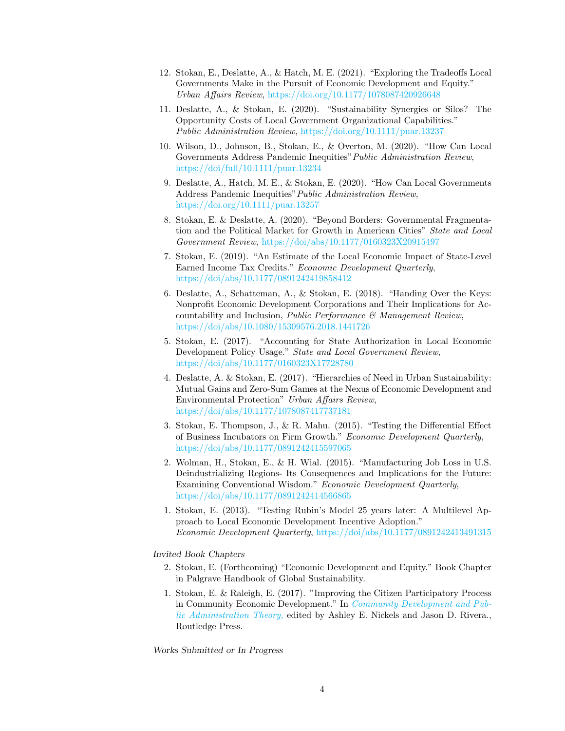- 12. Stokan, E., Deslatte, A., & Hatch, M. E. (2021). "Exploring the Tradeoffs Local Governments Make in the Pursuit of Economic Development and Equity." Urban Affairs Review, [https://doi.org/10.1177/1078087420926648](https://journals.sagepub.com/doi/10.1177/1078087420926648)
- 11. Deslatte, A., & Stokan, E. (2020). "Sustainability Synergies or Silos? The Opportunity Costs of Local Government Organizational Capabilities." Public Administration Review, [https://doi.org/10.1111/puar.13237](https://onlinelibrary.wiley.com/doi/abs/10.1111/puar.13237)
- 10. Wilson, D., Johnson, B., Stokan, E., & Overton, M. (2020). "How Can Local Governments Address Pandemic Inequities"Public Administration Review, [https://doi/full/10.1111/puar.13234](https://onlinelibrary.wiley.com/doi/full/10.1111/puar.13234)
- 9. Deslatte, A., Hatch, M. E., & Stokan, E. (2020). "How Can Local Governments Address Pandemic Inequities"Public Administration Review, [https://doi.org/10.1111/puar.13257](https://journals.sagepub.com/doi/10.1111/puar.13257)
- 8. Stokan, E. & Deslatte, A. (2020). "Beyond Borders: Governmental Fragmentation and the Political Market for Growth in American Cities" State and Local Government Review, [https://doi/abs/10.1177/0160323X20915497](https://journals.sagepub.com/doi/10.1177/0160323X20915497)
- 7. Stokan, E. (2019). "An Estimate of the Local Economic Impact of State-Level Earned Income Tax Credits." Economic Development Quarterly, [https://doi/abs/10.1177/0891242419858412](https://journals.sagepub.com/doi/abs/10.1177/0891242419858412)
- 6. Deslatte, A., Schatteman, A., & Stokan, E. (2018). "Handing Over the Keys: Nonprofit Economic Development Corporations and Their Implications for Accountability and Inclusion, Public Performance  $\mathcal C$  Management Review, [https://doi/abs/10.1080/15309576.2018.1441726](https://www.tandfonline.com/doi/abs/10.1080/15309576.2018.1441726)
- 5. Stokan, E. (2017). "Accounting for State Authorization in Local Economic Development Policy Usage." State and Local Government Review, [https://doi/abs/10.1177/0160323X17728780](https://journals.sagepub.com/doi/abs/10.1177/0160323X17728780)
- 4. Deslatte, A. & Stokan, E. (2017). "Hierarchies of Need in Urban Sustainability: Mutual Gains and Zero-Sum Games at the Nexus of Economic Development and Environmental Protection" Urban Affairs Review, [https://doi/abs/10.1177/1078087417737181](https://journals.sagepub.com/doi/abs/10.1177/1078087417737181)
- 3. Stokan, E. Thompson, J., & R. Mahu. (2015). "Testing the Differential Effect of Business Incubators on Firm Growth." Economic Development Quarterly, [https://doi/abs/10.1177/0891242415597065](https://journals.sagepub.com/doi/abs/10.1177/0891242415597065)
- 2. Wolman, H., Stokan, E., & H. Wial. (2015). "Manufacturing Job Loss in U.S. Deindustrializing Regions- Its Consequences and Implications for the Future: Examining Conventional Wisdom." Economic Development Quarterly, [https://doi/abs/10.1177/0891242414566865](https://journals.sagepub.com/doi/abs/10.1177/0891242414566865)
- 1. Stokan, E. (2013). "Testing Rubin's Model 25 years later: A Multilevel Approach to Local Economic Development Incentive Adoption." Economic Development Quarterly, [https://doi/abs/10.1177/0891242413491315](https://journals.sagepub.com/doi/abs/10.1177/0891242413491315)

### Invited Book Chapters

- 2. Stokan, E. (Forthcoming) "Economic Development and Equity." Book Chapter in Palgrave Handbook of Global Sustainability.
- 1. Stokan, E. & Raleigh, E. (2017). "Improving the Citizen Participatory Process in Community Economic Development." In [Community Development and Pub](https://www.taylorfrancis.com/chapters/edit/10.4324/9780203729878-6/improving-citizen-participatory-process-community-economic-development-eric-stokan-erica-raleigh)[lic Administration Theory,](https://www.taylorfrancis.com/chapters/edit/10.4324/9780203729878-6/improving-citizen-participatory-process-community-economic-development-eric-stokan-erica-raleigh) edited by Ashley E. Nickels and Jason D. Rivera., Routledge Press.

Works Submitted or In Progress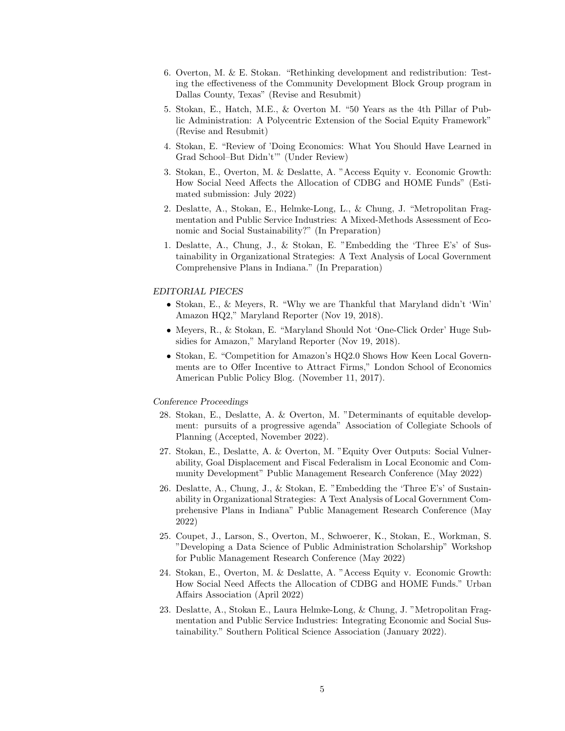- 6. Overton, M. & E. Stokan. "Rethinking development and redistribution: Testing the effectiveness of the Community Development Block Group program in Dallas County, Texas" (Revise and Resubmit)
- 5. Stokan, E., Hatch, M.E., & Overton M. "50 Years as the 4th Pillar of Public Administration: A Polycentric Extension of the Social Equity Framework" (Revise and Resubmit)
- 4. Stokan, E. "Review of 'Doing Economics: What You Should Have Learned in Grad School–But Didn't'" (Under Review)
- 3. Stokan, E., Overton, M. & Deslatte, A. "Access Equity v. Economic Growth: How Social Need Affects the Allocation of CDBG and HOME Funds" (Estimated submission: July 2022)
- 2. Deslatte, A., Stokan, E., Helmke-Long, L., & Chung, J. "Metropolitan Fragmentation and Public Service Industries: A Mixed-Methods Assessment of Economic and Social Sustainability?" (In Preparation)
- 1. Deslatte, A., Chung, J., & Stokan, E. "Embedding the 'Three E's' of Sustainability in Organizational Strategies: A Text Analysis of Local Government Comprehensive Plans in Indiana." (In Preparation)

### EDITORIAL PIECES

- Stokan, E., & Meyers, R. "Why we are Thankful that Maryland didn't 'Win' Amazon HQ2," Maryland Reporter (Nov 19, 2018).
- Meyers, R., & Stokan, E. "Maryland Should Not 'One-Click Order' Huge Subsidies for Amazon," Maryland Reporter (Nov 19, 2018).
- Stokan, E. "Competition for Amazon's HQ2.0 Shows How Keen Local Governments are to Offer Incentive to Attract Firms," London School of Economics American Public Policy Blog. (November 11, 2017).

### Conference Proceedings

- 28. Stokan, E., Deslatte, A. & Overton, M. "Determinants of equitable development: pursuits of a progressive agenda" Association of Collegiate Schools of Planning (Accepted, November 2022).
- 27. Stokan, E., Deslatte, A. & Overton, M. "Equity Over Outputs: Social Vulnerability, Goal Displacement and Fiscal Federalism in Local Economic and Community Development" Public Management Research Conference (May 2022)
- 26. Deslatte, A., Chung, J., & Stokan, E. "Embedding the 'Three E's' of Sustainability in Organizational Strategies: A Text Analysis of Local Government Comprehensive Plans in Indiana" Public Management Research Conference (May 2022)
- 25. Coupet, J., Larson, S., Overton, M., Schwoerer, K., Stokan, E., Workman, S. "Developing a Data Science of Public Administration Scholarship" Workshop for Public Management Research Conference (May 2022)
- 24. Stokan, E., Overton, M. & Deslatte, A. "Access Equity v. Economic Growth: How Social Need Affects the Allocation of CDBG and HOME Funds." Urban Affairs Association (April 2022)
- 23. Deslatte, A., Stokan E., Laura Helmke-Long, & Chung, J. "Metropolitan Fragmentation and Public Service Industries: Integrating Economic and Social Sustainability." Southern Political Science Association (January 2022).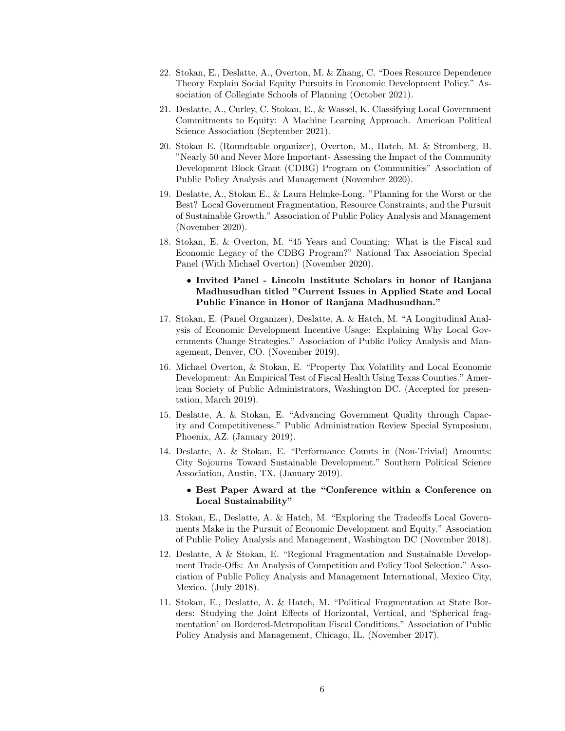- 22. Stokan, E., Deslatte, A., Overton, M. & Zhang, C. "Does Resource Dependence Theory Explain Social Equity Pursuits in Economic Development Policy." Association of Collegiate Schools of Planning (October 2021).
- 21. Deslatte, A., Curley, C. Stokan, E., & Wassel, K. Classifying Local Government Commitments to Equity: A Machine Learning Approach. American Political Science Association (September 2021).
- 20. Stokan E. (Roundtable organizer), Overton, M., Hatch, M. & Stromberg, B. "Nearly 50 and Never More Important- Assessing the Impact of the Community Development Block Grant (CDBG) Program on Communities" Association of Public Policy Analysis and Management (November 2020).
- 19. Deslatte, A., Stokan E., & Laura Helmke-Long. "Planning for the Worst or the Best? Local Government Fragmentation, Resource Constraints, and the Pursuit of Sustainable Growth." Association of Public Policy Analysis and Management (November 2020).
- 18. Stokan, E. & Overton, M. "45 Years and Counting: What is the Fiscal and Economic Legacy of the CDBG Program?" National Tax Association Special Panel (With Michael Overton) (November 2020).

# • Invited Panel - Lincoln Institute Scholars in honor of Ranjana Madhusudhan titled "Current Issues in Applied State and Local Public Finance in Honor of Ranjana Madhusudhan."

- 17. Stokan, E. (Panel Organizer), Deslatte, A. & Hatch, M. "A Longitudinal Analysis of Economic Development Incentive Usage: Explaining Why Local Governments Change Strategies." Association of Public Policy Analysis and Management, Denver, CO. (November 2019).
- 16. Michael Overton, & Stokan, E. "Property Tax Volatility and Local Economic Development: An Empirical Test of Fiscal Health Using Texas Counties." American Society of Public Administrators, Washington DC. (Accepted for presentation, March 2019).
- 15. Deslatte, A. & Stokan, E. "Advancing Government Quality through Capacity and Competitiveness." Public Administration Review Special Symposium, Phoenix, AZ. (January 2019).
- 14. Deslatte, A. & Stokan, E. "Performance Counts in (Non-Trivial) Amounts: City Sojourns Toward Sustainable Development." Southern Political Science Association, Austin, TX. (January 2019).

# • Best Paper Award at the "Conference within a Conference on Local Sustainability"

- 13. Stokan, E., Deslatte, A. & Hatch, M. "Exploring the Tradeoffs Local Governments Make in the Pursuit of Economic Development and Equity." Association of Public Policy Analysis and Management, Washington DC (November 2018).
- 12. Deslatte, A & Stokan, E. "Regional Fragmentation and Sustainable Development Trade-Offs: An Analysis of Competition and Policy Tool Selection." Association of Public Policy Analysis and Management International, Mexico City, Mexico. (July 2018).
- 11. Stokan, E., Deslatte, A. & Hatch, M. "Political Fragmentation at State Borders: Studying the Joint Effects of Horizontal, Vertical, and 'Spherical fragmentation' on Bordered-Metropolitan Fiscal Conditions." Association of Public Policy Analysis and Management, Chicago, IL. (November 2017).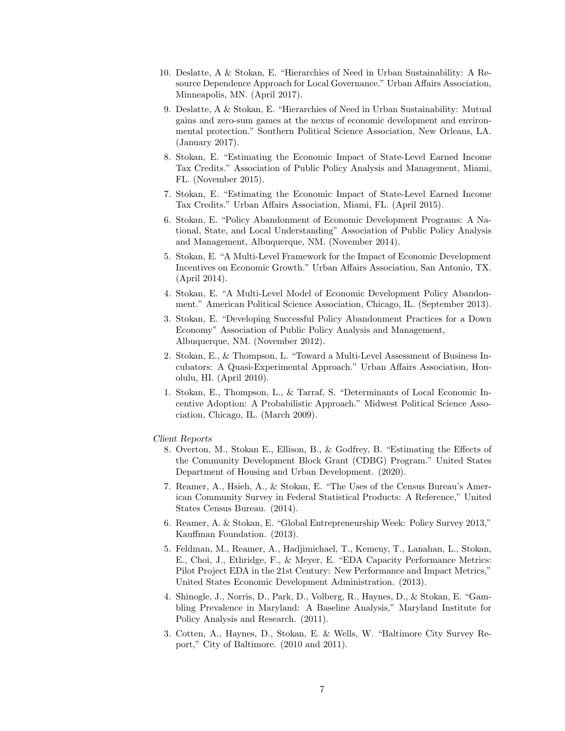- 10. Deslatte, A & Stokan, E. "Hierarchies of Need in Urban Sustainability: A Resource Dependence Approach for Local Governance." Urban Affairs Association, Minneapolis, MN. (April 2017).
- 9. Deslatte, A & Stokan, E. "Hierarchies of Need in Urban Sustainability: Mutual gains and zero-sum games at the nexus of economic development and environmental protection." Southern Political Science Association, New Orleans, LA. (January 2017).
- 8. Stokan, E. "Estimating the Economic Impact of State-Level Earned Income Tax Credits." Association of Public Policy Analysis and Management, Miami, FL. (November 2015).
- 7. Stokan, E. "Estimating the Economic Impact of State-Level Earned Income Tax Credits." Urban Affairs Association, Miami, FL. (April 2015).
- 6. Stokan, E. "Policy Abandonment of Economic Development Programs: A National, State, and Local Understanding" Association of Public Policy Analysis and Management, Albuquerque, NM. (November 2014).
- 5. Stokan, E. "A Multi-Level Framework for the Impact of Economic Development Incentives on Economic Growth." Urban Affairs Association, San Antonio, TX. (April 2014).
- 4. Stokan, E. "A Multi-Level Model of Economic Development Policy Abandonment." American Political Science Association, Chicago, IL. (September 2013).
- 3. Stokan, E. "Developing Successful Policy Abandonment Practices for a Down Economy" Association of Public Policy Analysis and Management, Albuquerque, NM. (November 2012).
- 2. Stokan, E., & Thompson, L. "Toward a Multi-Level Assessment of Business Incubators: A Quasi-Experimental Approach." Urban Affairs Association, Honolulu, HI. (April 2010).
- 1. Stokan, E., Thompson, L., & Tarraf, S. "Determinants of Local Economic Incentive Adoption: A Probabilistic Approach." Midwest Political Science Association, Chicago, IL. (March 2009).

### Client Reports

- 8. Overton, M., Stokan E., Ellison, B., & Godfrey, B. "Estimating the Effects of the Community Development Block Grant (CDBG) Program." United States Department of Housing and Urban Development. (2020).
- 7. Reamer, A., Hsieh, A., & Stokan, E. "The Uses of the Census Bureau's American Community Survey in Federal Statistical Products: A Reference," United States Census Bureau. (2014).
- 6. Reamer, A. & Stokan, E. "Global Entrepreneurship Week: Policy Survey 2013," Kauffman Foundation. (2013).
- 5. Feldman, M., Reamer, A., Hadjimichael, T., Kemeny, T., Lanahan, L., Stokan, E., Choi, J., Ethridge, F., & Meyer, E. "EDA Capacity Performance Metrics: Pilot Project EDA in the 21st Century: New Performance and Impact Metrics," United States Economic Development Administration. (2013).
- 4. Shinogle, J., Norris, D., Park, D., Volberg, R., Haynes, D., & Stokan, E. "Gambling Prevalence in Maryland: A Baseline Analysis," Maryland Institute for Policy Analysis and Research. (2011).
- 3. Cotten, A., Haynes, D., Stokan, E. & Wells, W. "Baltimore City Survey Report," City of Baltimore. (2010 and 2011).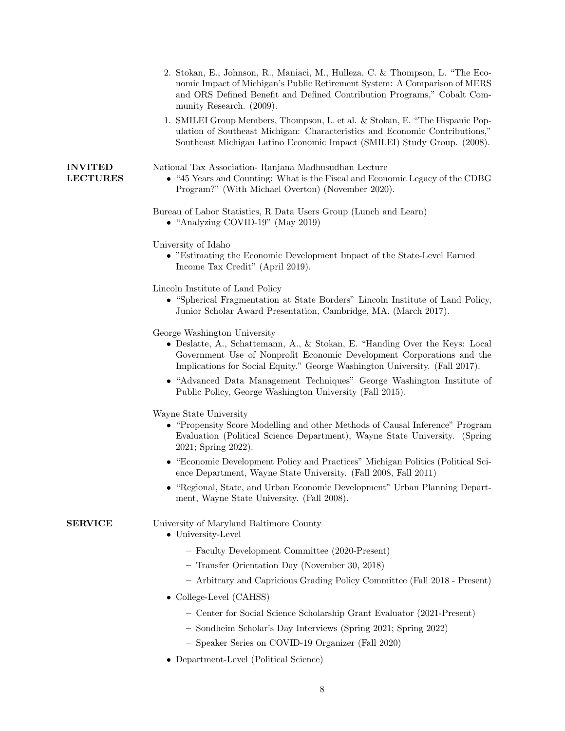|                                   | 2. Stokan, E., Johnson, R., Maniaci, M., Hulleza, C. & Thompson, L. "The Eco-<br>nomic Impact of Michigan's Public Retirement System: A Comparison of MERS<br>and ORS Defined Benefit and Defined Contribution Programs," Cobalt Com-<br>munity Research. (2009).<br>1. SMILEI Group Members, Thompson, L. et al. & Stokan, E. "The Hispanic Pop- |
|-----------------------------------|---------------------------------------------------------------------------------------------------------------------------------------------------------------------------------------------------------------------------------------------------------------------------------------------------------------------------------------------------|
|                                   | ulation of Southeast Michigan: Characteristics and Economic Contributions,"<br>Southeast Michigan Latino Economic Impact (SMILEI) Study Group. (2008).                                                                                                                                                                                            |
| <b>INVITED</b><br><b>LECTURES</b> | National Tax Association-Ranjana Madhusudhan Lecture<br>• "45 Years and Counting: What is the Fiscal and Economic Legacy of the CDBG<br>Program?" (With Michael Overton) (November 2020).                                                                                                                                                         |
|                                   | Bureau of Labor Statistics, R Data Users Group (Lunch and Learn)<br>• "Analyzing COVID-19" (May 2019)                                                                                                                                                                                                                                             |
|                                   | University of Idaho<br>• "Estimating the Economic Development Impact of the State-Level Earned<br>Income Tax Credit" (April 2019).                                                                                                                                                                                                                |
|                                   | Lincoln Institute of Land Policy<br>• "Spherical Fragmentation at State Borders" Lincoln Institute of Land Policy,<br>Junior Scholar Award Presentation, Cambridge, MA. (March 2017).                                                                                                                                                             |
|                                   | George Washington University<br>• Deslatte, A., Schattemann, A., & Stokan, E. "Handing Over the Keys: Local<br>Government Use of Nonprofit Economic Development Corporations and the<br>Implications for Social Equity." George Washington University. (Fall 2017).                                                                               |
|                                   | • "Advanced Data Management Techniques" George Washington Institute of<br>Public Policy, George Washington University (Fall 2015).                                                                                                                                                                                                                |
|                                   | Wayne State University<br>• "Propensity Score Modelling and other Methods of Causal Inference" Program<br>Evaluation (Political Science Department), Wayne State University. (Spring<br>2021; Spring 2022).                                                                                                                                       |
|                                   | • "Economic Development Policy and Practices" Michigan Politics (Political Sci-<br>ence Department, Wayne State University. (Fall 2008, Fall 2011)                                                                                                                                                                                                |
|                                   | • "Regional, State, and Urban Economic Development" Urban Planning Depart-<br>ment, Wayne State University. (Fall 2008).                                                                                                                                                                                                                          |
| <b>SERVICE</b>                    | University of Maryland Baltimore County<br>$\bullet\,$ University-Level                                                                                                                                                                                                                                                                           |
|                                   | - Faculty Development Committee (2020-Present)                                                                                                                                                                                                                                                                                                    |
|                                   | - Transfer Orientation Day (November 30, 2018)                                                                                                                                                                                                                                                                                                    |
|                                   | - Arbitrary and Capricious Grading Policy Committee (Fall 2018 - Present)                                                                                                                                                                                                                                                                         |
|                                   | • College-Level (CAHSS)                                                                                                                                                                                                                                                                                                                           |
|                                   | - Center for Social Science Scholarship Grant Evaluator (2021-Present)                                                                                                                                                                                                                                                                            |
|                                   | - Sondheim Scholar's Day Interviews (Spring 2021; Spring 2022)                                                                                                                                                                                                                                                                                    |
|                                   |                                                                                                                                                                                                                                                                                                                                                   |

- Speaker Series on COVID-19 Organizer (Fall 2020)
- Department-Level (Political Science)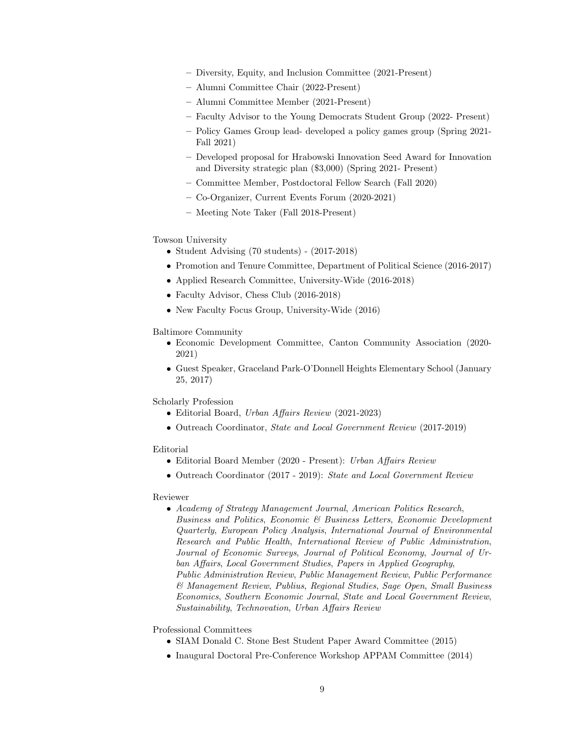- Diversity, Equity, and Inclusion Committee (2021-Present)
- Alumni Committee Chair (2022-Present)
- Alumni Committee Member (2021-Present)
- Faculty Advisor to the Young Democrats Student Group (2022- Present)
- Policy Games Group lead- developed a policy games group (Spring 2021- Fall 2021)
- Developed proposal for Hrabowski Innovation Seed Award for Innovation and Diversity strategic plan (\$3,000) (Spring 2021- Present)
- Committee Member, Postdoctoral Fellow Search (Fall 2020)
- Co-Organizer, Current Events Forum (2020-2021)
- Meeting Note Taker (Fall 2018-Present)

### Towson University

- Student Advising (70 students) (2017-2018)
- Promotion and Tenure Committee, Department of Political Science (2016-2017)
- Applied Research Committee, University-Wide (2016-2018)
- Faculty Advisor, Chess Club (2016-2018)
- New Faculty Focus Group, University-Wide (2016)

### Baltimore Community

- Economic Development Committee, Canton Community Association (2020- 2021)
- Guest Speaker, Graceland Park-O'Donnell Heights Elementary School (January 25, 2017)

Scholarly Profession

- Editorial Board, Urban Affairs Review (2021-2023)
- Outreach Coordinator, State and Local Government Review (2017-2019)

### Editorial

- Editorial Board Member (2020 Present): Urban Affairs Review
- Outreach Coordinator (2017 2019): State and Local Government Review

### Reviewer

• Academy of Strategy Management Journal, American Politics Research, Business and Politics, Economic & Business Letters, Economic Development Quarterly, European Policy Analysis, International Journal of Environmental Research and Public Health, International Review of Public Administration, Journal of Economic Surveys, Journal of Political Economy, Journal of Urban Affairs, Local Government Studies, Papers in Applied Geography, Public Administration Review, Public Management Review, Public Performance & Management Review, Publius, Regional Studies, Sage Open, Small Business Economics, Southern Economic Journal, State and Local Government Review, Sustainability, Technovation, Urban Affairs Review

Professional Committees

- SIAM Donald C. Stone Best Student Paper Award Committee (2015)
- Inaugural Doctoral Pre-Conference Workshop APPAM Committee (2014)